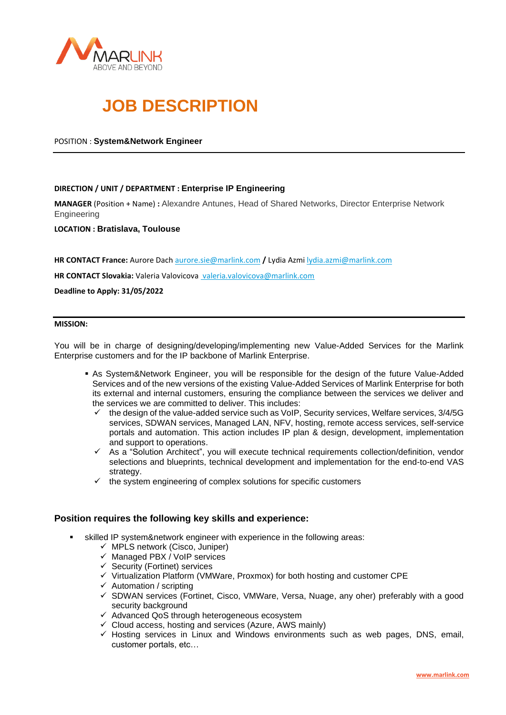

# **JOB DESCRIPTION**

# POSITION : **System&Network Engineer**

# **DIRECTION / UNIT / DEPARTMENT : Enterprise IP Engineering**

**MANAGER** (Position + Name) **:** Alexandre Antunes, Head of Shared Networks, Director Enterprise Network **Engineering** 

**LOCATION : Bratislava, Toulouse**

**HR CONTACT France:** Aurore Dach [aurore.sie@marlink.com](mailto:aurore.sie@marlink.com) **/** Lydia Azmi [lydia.azmi@marlink.com](mailto:lydia.azmi@marlink.com)

**HR CONTACT Slovakia:** Valeria Valovicova valeria.valovicova@marlink.com

**Deadline to Apply: 31/05/2022**

#### **MISSION:**

You will be in charge of designing/developing/implementing new Value-Added Services for the Marlink Enterprise customers and for the IP backbone of Marlink Enterprise.

- **As System&Network Engineer, you will be responsible for the design of the future Value-Added** Services and of the new versions of the existing Value-Added Services of Marlink Enterprise for both its external and internal customers, ensuring the compliance between the services we deliver and the services we are committed to deliver. This includes:
	- $\checkmark$  the design of the value-added service such as VoIP, Security services, Welfare services, 3/4/5G services, SDWAN services, Managed LAN, NFV, hosting, remote access services, self-service portals and automation. This action includes IP plan & design, development, implementation and support to operations.
	- ✓ As a "Solution Architect", you will execute technical requirements collection/definition, vendor selections and blueprints, technical development and implementation for the end-to-end VAS strategy.
	- $\checkmark$  the system engineering of complex solutions for specific customers

# **Position requires the following key skills and experience:**

- skilled IP system&network engineer with experience in the following areas:
	- $\checkmark$  MPLS network (Cisco, Juniper)
	- ✓ Managed PBX / VoIP services
	- $\checkmark$  Security (Fortinet) services
	- ✓ Virtualization Platform (VMWare, Proxmox) for both hosting and customer CPE
	- $\checkmark$  Automation / scripting
	- $\checkmark$  SDWAN services (Fortinet, Cisco, VMWare, Versa, Nuage, any oher) preferably with a good security background
	- ✓ Advanced QoS through heterogeneous ecosystem
	- $\checkmark$  Cloud access, hosting and services (Azure, AWS mainly)
	- $\checkmark$  Hosting services in Linux and Windows environments such as web pages, DNS, email, customer portals, etc…